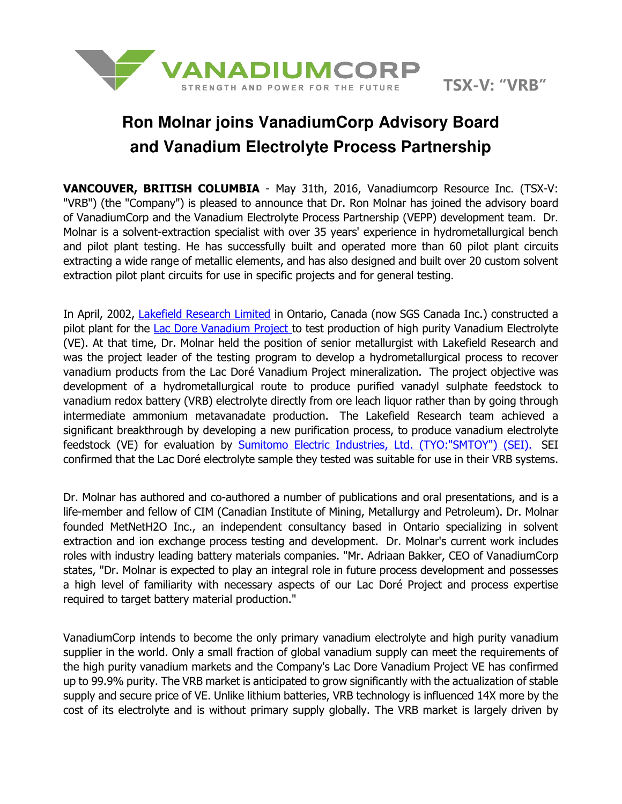

## **Ron Molnar joins VanadiumCorp Advisory Board and Vanadium Electrolyte Process Partnership**

VANCOUVER, BRITISH COLUMBIA - May 31th, 2016, Vanadiumcorp Resource Inc. (TSX-V: "VRB") (the "Company") is pleased to announce that Dr. Ron Molnar has joined the advisory board of VanadiumCorp and the Vanadium Electrolyte Process Partnership (VEPP) development team. Dr. Molnar is a solvent-extraction specialist with over 35 years' experience in hydrometallurgical bench and pilot plant testing. He has successfully built and operated more than 60 pilot plant circuits extracting a wide range of metallic elements, and has also designed and built over 20 custom solvent extraction pilot plant circuits for use in specific projects and for general testing.

In April, 2002, Lakefield Research Limited in Ontario, Canada (now SGS Canada Inc.) constructed a pilot plant for the Lac Dore Vanadium Project to test production of high purity Vanadium Electrolyte (VE). At that time, Dr. Molnar held the position of senior metallurgist with Lakefield Research and was the project leader of the testing program to develop a hydrometallurgical process to recover vanadium products from the Lac Doré Vanadium Project mineralization. The project objective was development of a hydrometallurgical route to produce purified vanadyl sulphate feedstock to vanadium redox battery (VRB) electrolyte directly from ore leach liquor rather than by going through intermediate ammonium metavanadate production. The Lakefield Research team achieved a significant breakthrough by developing a new purification process, to produce vanadium electrolyte feedstock (VE) for evaluation by **Sumitomo Electric Industries, Ltd. (TYO:"SMTOY")** (SEI). SEI confirmed that the Lac Doré electrolyte sample they tested was suitable for use in their VRB systems.

Dr. Molnar has authored and co-authored a number of publications and oral presentations, and is a life-member and fellow of CIM (Canadian Institute of Mining, Metallurgy and Petroleum). Dr. Molnar founded MetNetH2O Inc., an independent consultancy based in Ontario specializing in solvent extraction and ion exchange process testing and development. Dr. Molnar's current work includes roles with industry leading battery materials companies. "Mr. Adriaan Bakker, CEO of VanadiumCorp states, "Dr. Molnar is expected to play an integral role in future process development and possesses a high level of familiarity with necessary aspects of our Lac Doré Project and process expertise required to target battery material production."

VanadiumCorp intends to become the only primary vanadium electrolyte and high purity vanadium supplier in the world. Only a small fraction of global vanadium supply can meet the requirements of the high purity vanadium markets and the Company's Lac Dore Vanadium Project VE has confirmed up to 99.9% purity. The VRB market is anticipated to grow significantly with the actualization of stable supply and secure price of VE. Unlike lithium batteries, VRB technology is influenced 14X more by the cost of its electrolyte and is without primary supply globally. The VRB market is largely driven by